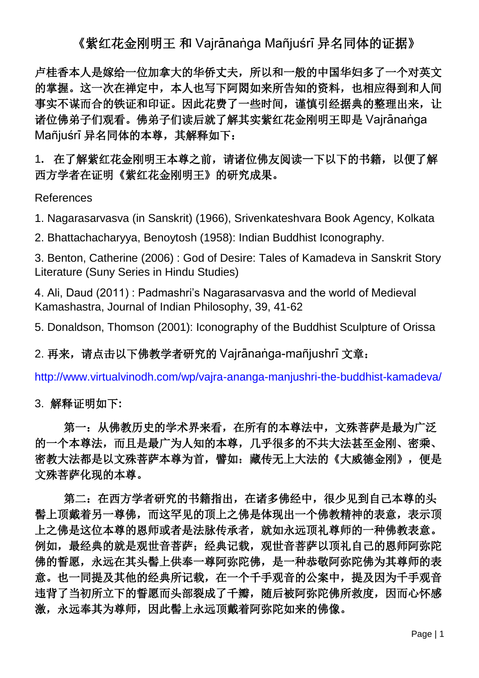《紫红花金刚明王 和 Vairānaṅqa Mañjuśrī 异名同体的证据》

卢桂香本人是嫁给一位加拿大的华侨丈夫,所以和一般的中国华妇多了一个对英文 的掌握。这一次在禅定中,本人也写下阿閦如来所告知的资料,也相应得到和人间 事实不谋而合的铁证和印证。因此花费了一些时间,谨慎引经据典的整理出来,让 诸位佛弟子们观看。佛弟子们读后就了解其实紫红花金刚明王即是 Vajrānanga Mañjuśrī 异名同体的本尊, 其解释如下:

1**.** 在了解紫红花金刚明王本尊之前,请诸位佛友阅读一下以下的书籍,以便了解 西方学者在证明《紫红花金刚明王》的研究成果。

References

1. Nagarasarvasva (in Sanskrit) (1966), Srivenkateshvara Book Agency, Kolkata

2. Bhattachacharyya, Benoytosh (1958): Indian Buddhist Iconography.

3. Benton, Catherine (2006) : God of Desire: Tales of Kamadeva in Sanskrit Story Literature (Suny Series in Hindu Studies)

4. Ali, Daud (2011) : Padmashri's Nagarasarvasva and the world of Medieval Kamashastra, Journal of Indian Philosophy, 39, 41-62

5. Donaldson, Thomson (2001): Iconography of the Buddhist Sculpture of Orissa

2. 再来,请点击以下佛教学者研究的 Vajrānanga-mañjushrī 文章:

<http://www.virtualvinodh.com/wp/vajra-ananga-manjushri-the-buddhist-kamadeva/>

3. 解释证明如下**:**

第一: 从佛教历史的学术界来看, 在所有的本尊法中, 文殊菩萨是最为广泛 的一个本尊法,而且是最广为人知的本尊,几乎很多的不共大法甚至金刚、密乘、 密教大法都是以文殊菩萨本尊为首,譬如:藏传无上大法的《大威德金刚》,便是 文殊菩萨化现的本尊。

第二:在西方学者研究的书籍指出,在诸多佛经中,很少见到自己本尊的头 髻上顶戴着另一尊佛,而这罕见的顶上之佛是体现出一个佛教精神的表意,表示顶 上之佛是这位本尊的恩师或者是法脉传承者,就如永远顶礼尊师的一种佛教表意。 例如,最经典的就是观世音菩萨;经典记载,观世音菩萨以顶礼自己的恩师阿弥陀 佛的誓愿,永远在其头髻上供奉一尊阿弥陀佛,是一种恭敬阿弥陀佛为其尊师的表 意。也一同提及其他的经典所记载,在一个千手观音的公案中,提及因为千手观音 违背了当初所立下的誓愿而头部裂成了千瓣,随后被阿弥陀佛所救度,因而心怀感 激,永远奉其为尊师,因此髻上永远顶戴着阿弥陀如来的佛像。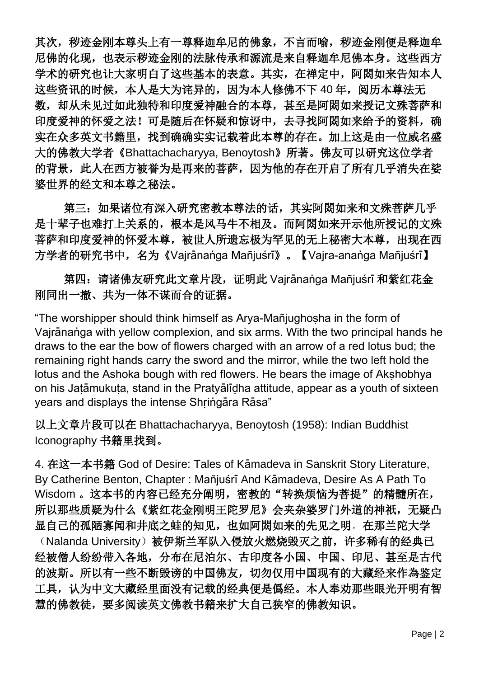其次,秽迹金刚本尊头上有一尊释迦牟尼的佛象,不言而喻,秽迹金刚便是释迦牟 尼佛的化现,也表示秽迹金刚的法脉传承和源流是来自释迦牟尼佛本身。这些西方 学术的研究也让大家明白了这些基本的表意。其实,在禅定中,阿閦如来告知本人 这些资讯的时候,本人是大为诧异的,因为本人修佛不下 40年,阅历本尊法无 数,却从未见过如此独特和印度爱神融合的本尊,甚至是阿閦如来授记文殊菩萨和 印度爱神的怀爱之法!可是随后在怀疑和惊讶中,去寻找阿閦如来给予的资料,确 实在众多英文书籍里,找到确确实实记载着此本尊的存在。加上这是由一位威名盛 大的佛教大学者《Bhattachacharyya, Benoytosh》所著。佛友可以研究这位学者 的背景,此人在西方被誉为是再来的菩萨,因为他的存在开启了所有几乎消失在娑 婆世界的经文和本尊之秘法。

第三:如果诸位有深入研究密教本尊法的话,其实阿閦如来和文殊菩萨几乎 是十辈子也难打上关系的,根本是风马牛不相及。而阿閦如来开示他所授记的文殊 菩萨和印度爱神的怀爱本尊,被世人所遗忘极为罕见的无上秘密大本尊,出现在西 方学者的研究书中,名为《Vajrānaṅga Mañjuśrī》。【Vajra-anaṅga Mañjuśrī】

第四: 请诸佛友研究此文章片段,证明此 Vajrananga Mañjuśrī 和紫红花金 刚同出一撤、共为一体不谋而合的证据。

"The worshipper should think himself as Arya-Mañjughosha in the form of Vajrananga with yellow complexion, and six arms. With the two principal hands he draws to the ear the bow of flowers charged with an arrow of a red lotus bud; the remaining right hands carry the sword and the mirror, while the two left hold the lotus and the Ashoka bough with red flowers. He bears the image of Akshobhya on his Jatamukuta, stand in the Pratyalidha attitude, appear as a youth of sixteen vears and displays the intense Shringara Rasa"

以上文章片段可以在 Bhattachacharyya, Benoytosh (1958): Indian Buddhist Iconography 书籍里找到。

4. 在这一本书籍 God of Desire: Tales of K2madeva in Sanskrit Story Literature, By Catherine Benton, Chapter: Mañjuśrī And Kāmadeva, Desire As A Path To Wisdom 。这本书的内容已经充分阐明,密教的"转换烦恼为菩提"的精髓所在, 所以那些质疑为什么《紫红花金刚明王陀罗尼》会夹杂婆罗门外道的神祇,无疑凸 显自己的孤陋寡闻和井底之蛙的知见,也如阿閦如来的先见之明。在那兰陀大学 (Nalanda University)被伊斯兰军队入侵放火燃烧毁灭之前,许多稀有的经典已 经被僧人纷纷带入各地,分布在尼泊尔、古印度各小国、中国、印尼、甚至是古代 的波斯。所以有一些不断毁谤的中国佛友,切勿仅用中国现有的大藏经来作為鉴定 工具,认为中文大藏经里面没有记载的经典便是僞经。本人奉劝那些眼光开明有智 慧的佛教徒,要多阅读英文佛教书籍来扩大自己狭窄的佛教知识。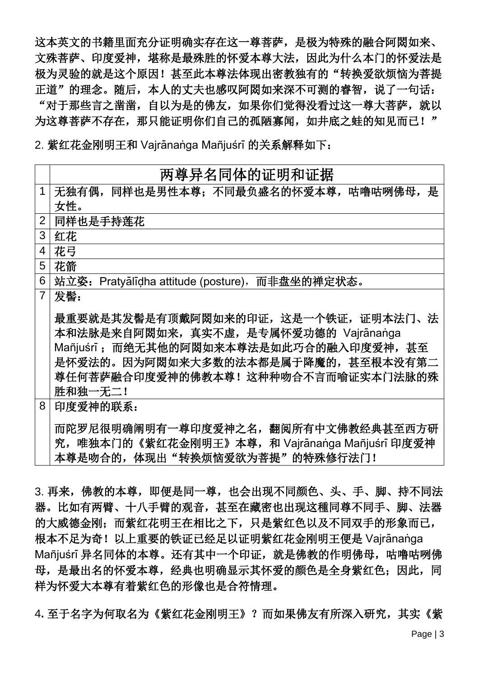这本英文的书籍里面充分证明确实存在这一尊菩萨,是极为特殊的融合阿閦如来、 文殊菩萨、印度爱神, 堪称是最殊胜的怀爱本尊大法, 因此为什么本门的怀爱法是 极为灵验的就是这个原因!甚至此本尊法体现出密教独有的"转换爱欲烦恼为菩提 正道"的理念。随后,本人的丈夫也感叹阿閦如来深不可测的睿智,说了一句话: "对于那些言之凿凿,自以为是的佛友,如果你们觉得没看过这一尊大菩萨,就以 为这尊菩萨不存在,那只能证明你们自己的孤陋寡闻,如井底之蛙的知见而已!"

2. 紫红花金刚明王和 Vajrānanga Mañjuśrī 的关系解释如下:

|                | 两尊异名同体的证明和证据                                                                                                                                                                                                   |
|----------------|----------------------------------------------------------------------------------------------------------------------------------------------------------------------------------------------------------------|
| 1              | 无独有偶, 同样也是男性本尊; 不同最负盛名的怀爱本尊, 咕噜咕咧佛母, 是                                                                                                                                                                         |
|                | 女性。                                                                                                                                                                                                            |
| $\overline{2}$ | 同样也是手持莲花                                                                                                                                                                                                       |
| 3              | 红花                                                                                                                                                                                                             |
| 4              | 花弓                                                                                                                                                                                                             |
| 5              | 花箭                                                                                                                                                                                                             |
| 6              | 站立姿: Pratyalidha attitude (posture), 而非盘坐的禅定状态。                                                                                                                                                                |
| $\overline{7}$ | 发髻:                                                                                                                                                                                                            |
|                | 最重要就是其发髻是有顶戴阿閦如来的印证,这是一个铁证,证明本法门、法<br>本和法脉是来自阿閦如来, 真实不虚, 是专属怀爱功德的 Vajrānaṅga<br>Mañjuśrī; 而绝无其他的阿閦如来本尊法是如此巧合的融入印度爱神, 甚至<br>是怀爱法的。因为阿閦如来大多数的法本都是属于降魔的,甚至根本没有第二<br>尊任何菩萨融合印度爱神的佛教本尊!这种种吻合不言而喻证实本门法脉的殊<br>胜和独一无二! |
| 8              | 印度爱神的联系:<br>而陀罗尼很明确阐明有一尊印度爱神之名,翻阅所有中文佛教经典甚至西方研<br>究,唯独本门的《紫红花金刚明王》本尊,和 Vajrānaṅga Mañjuśrī 印度爱神<br>本尊是吻合的, 体现出"转换烦恼爱欲为菩提"的特殊修行法门!                                                                              |

3. 再来,佛教的本尊,即便是同一尊,也会出现不同颜色、头、手、脚、持不同法 器。比如有两臂、十八手臂的观音,甚至在藏密也出现这種同尊不同手、脚、法器 的大威德金刚;而紫红花明王在相比之下,只是紫红色以及不同双手的形象而已, 根本不足为奇!以上重要的铁证已经足以证明紫红花金刚明王便是 Vajrānanga Mañjuśrī 异名同体的本尊。还有其中一个印证,就是佛教的作明佛母,咕噜咕咧佛 母,是最出名的怀爱本尊,经典也明确显示其怀爱的颜色是全身紫红色;因此,同 样为怀爱大本尊有着紫红色的形像也是合符情理。

4**.** 至于名字为何取名为《紫红花金刚明王》?而如果佛友有所深入研究,其实《紫